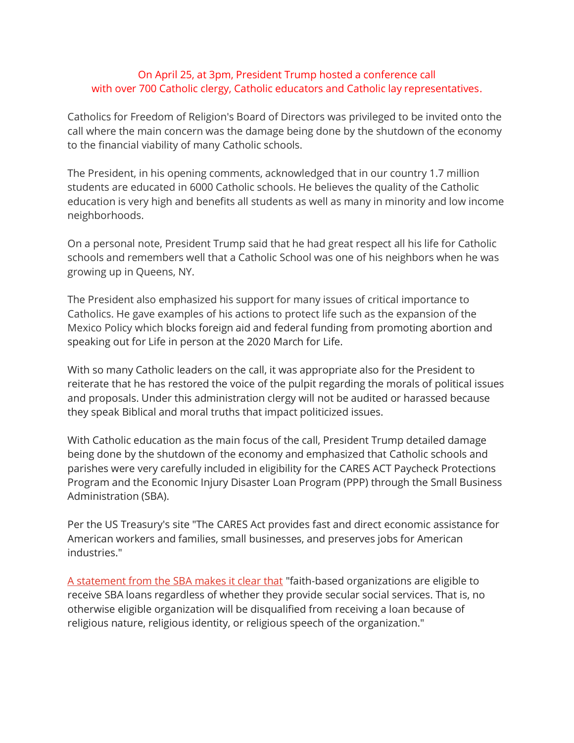## On April 25, at 3pm, President Trump hosted a conference call with over 700 Catholic clergy, Catholic educators and Catholic lay representatives.

Catholics for Freedom of Religion's Board of Directors was privileged to be invited onto the call where the main concern was the damage being done by the shutdown of the economy to the financial viability of many Catholic schools.

The President, in his opening comments, acknowledged that in our country 1.7 million students are educated in 6000 Catholic schools. He believes the quality of the Catholic education is very high and benefits all students as well as many in minority and low income neighborhoods.

On a personal note, President Trump said that he had great respect all his life for Catholic schools and remembers well that a Catholic School was one of his neighbors when he was growing up in Queens, NY.

The President also emphasized his support for many issues of critical importance to Catholics. He gave examples of his actions to protect life such as the expansion of the Mexico Policy which blocks foreign aid and federal funding from promoting abortion and speaking out for Life in person at the 2020 March for Life.

With so many Catholic leaders on the call, it was appropriate also for the President to reiterate that he has restored the voice of the pulpit regarding the morals of political issues and proposals. Under this administration clergy will not be audited or harassed because they speak Biblical and moral truths that impact politicized issues.

With Catholic education as the main focus of the call, President Trump detailed damage being done by the shutdown of the economy and emphasized that Catholic schools and parishes were very carefully included in eligibility for the CARES ACT Paycheck Protections Program and the Economic Injury Disaster Loan Program (PPP) through the Small Business Administration (SBA).

Per the US Treasury's site "The CARES Act provides fast and direct economic assistance for American workers and families, small businesses, and preserves jobs for American industries."

[A statement from the SBA makes it clear that](https://www.sba.gov/sites/default/files/2020-04/SBA%20Faith-Based%20FAQ%20Final.pdf) "faith-based organizations are eligible to receive SBA loans regardless of whether they provide secular social services. That is, no otherwise eligible organization will be disqualified from receiving a loan because of religious nature, religious identity, or religious speech of the organization."